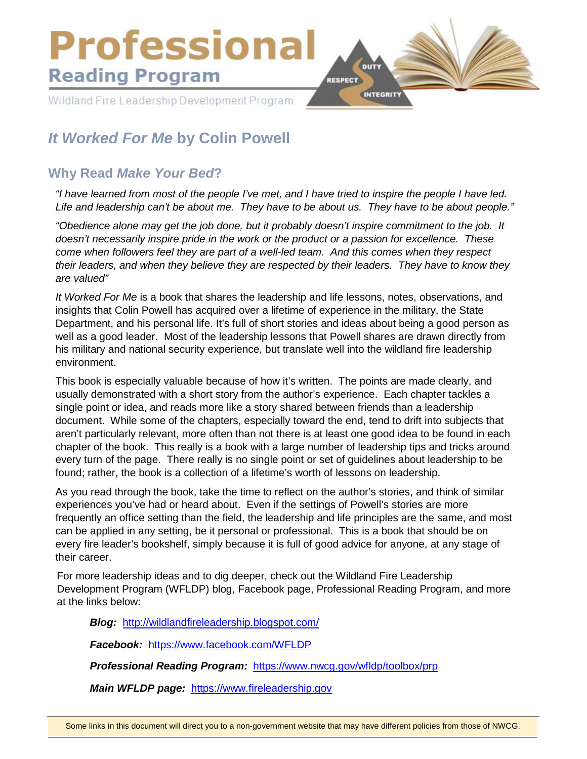

# *It Worked For Me* **by Colin Powell**

## **Why Read** *Make Your Bed***?**

*"I have learned from most of the people I've met, and I have tried to inspire the people I have led. Life and leadership can't be about me. They have to be about us. They have to be about people."*

*"Obedience alone may get the job done, but it probably doesn't inspire commitment to the job. It doesn't necessarily inspire pride in the work or the product or a passion for excellence. These come when followers feel they are part of a well-led team. And this comes when they respect their leaders, and when they believe they are respected by their leaders. They have to know they are valued"*

*It Worked For Me* is a book that shares the leadership and life lessons, notes, observations, and insights that Colin Powell has acquired over a lifetime of experience in the military, the State Department, and his personal life. It's full of short stories and ideas about being a good person as well as a good leader. Most of the leadership lessons that Powell shares are drawn directly from his military and national security experience, but translate well into the wildland fire leadership environment.

This book is especially valuable because of how it's written. The points are made clearly, and usually demonstrated with a short story from the author's experience. Each chapter tackles a single point or idea, and reads more like a story shared between friends than a leadership document. While some of the chapters, especially toward the end, tend to drift into subjects that aren't particularly relevant, more often than not there is at least one good idea to be found in each chapter of the book. This really is a book with a large number of leadership tips and tricks around every turn of the page. There really is no single point or set of guidelines about leadership to be found; rather, the book is a collection of a lifetime's worth of lessons on leadership.

As you read through the book, take the time to reflect on the author's stories, and think of similar experiences you've had or heard about. Even if the settings of Powell's stories are more frequently an office setting than the field, the leadership and life principles are the same, and most can be applied in any setting, be it personal or professional. This is a book that should be on every fire leader's bookshelf, simply because it is full of good advice for anyone, at any stage of their career.

For more leadership ideas and to dig deeper, check out the Wildland Fire Leadership Development Program (WFLDP) blog, Facebook page, Professional Reading Program, and more at the links below:

*Blog:* <http://wildlandfireleadership.blogspot.com/>

*Facebook:* <https://www.facebook.com/WFLDP>

*Professional Reading Program:* <https://www.nwcg.gov/wfldp/toolbox/prp>

*Main WFLDP page:* [https://www.fireleadership.gov](https://www.fireleadership.gov/)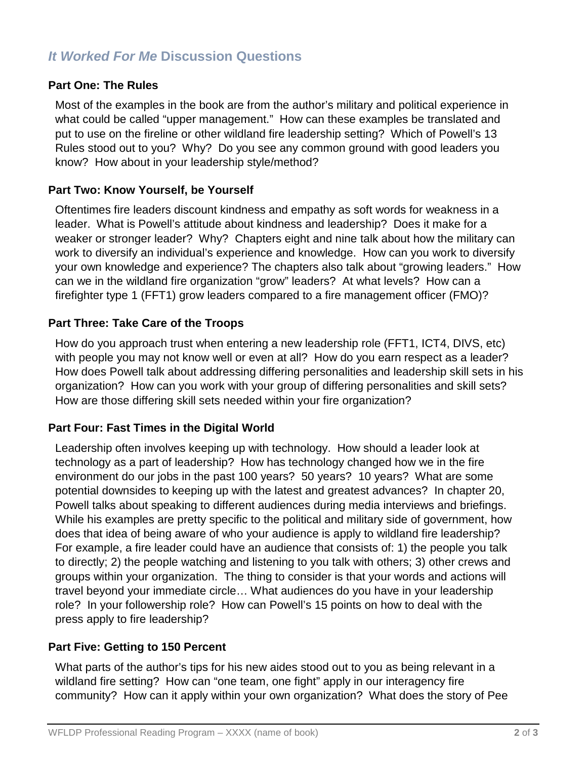# *It Worked For Me* **Discussion Questions**

#### **Part One: The Rules**

Most of the examples in the book are from the author's military and political experience in what could be called "upper management." How can these examples be translated and put to use on the fireline or other wildland fire leadership setting? Which of Powell's 13 Rules stood out to you? Why? Do you see any common ground with good leaders you know? How about in your leadership style/method?

#### **Part Two: Know Yourself, be Yourself**

Oftentimes fire leaders discount kindness and empathy as soft words for weakness in a leader. What is Powell's attitude about kindness and leadership? Does it make for a weaker or stronger leader? Why? Chapters eight and nine talk about how the military can work to diversify an individual's experience and knowledge. How can you work to diversify your own knowledge and experience? The chapters also talk about "growing leaders." How can we in the wildland fire organization "grow" leaders? At what levels? How can a firefighter type 1 (FFT1) grow leaders compared to a fire management officer (FMO)?

#### **Part Three: Take Care of the Troops**

How do you approach trust when entering a new leadership role (FFT1, ICT4, DIVS, etc) with people you may not know well or even at all? How do you earn respect as a leader? How does Powell talk about addressing differing personalities and leadership skill sets in his organization? How can you work with your group of differing personalities and skill sets? How are those differing skill sets needed within your fire organization?

#### **Part Four: Fast Times in the Digital World**

Leadership often involves keeping up with technology. How should a leader look at technology as a part of leadership? How has technology changed how we in the fire environment do our jobs in the past 100 years? 50 years? 10 years? What are some potential downsides to keeping up with the latest and greatest advances? In chapter 20, Powell talks about speaking to different audiences during media interviews and briefings. While his examples are pretty specific to the political and military side of government, how does that idea of being aware of who your audience is apply to wildland fire leadership? For example, a fire leader could have an audience that consists of: 1) the people you talk to directly; 2) the people watching and listening to you talk with others; 3) other crews and groups within your organization. The thing to consider is that your words and actions will travel beyond your immediate circle… What audiences do you have in your leadership role? In your followership role? How can Powell's 15 points on how to deal with the press apply to fire leadership?

### **Part Five: Getting to 150 Percent**

What parts of the author's tips for his new aides stood out to you as being relevant in a wildland fire setting? How can "one team, one fight" apply in our interagency fire community? How can it apply within your own organization? What does the story of Pee